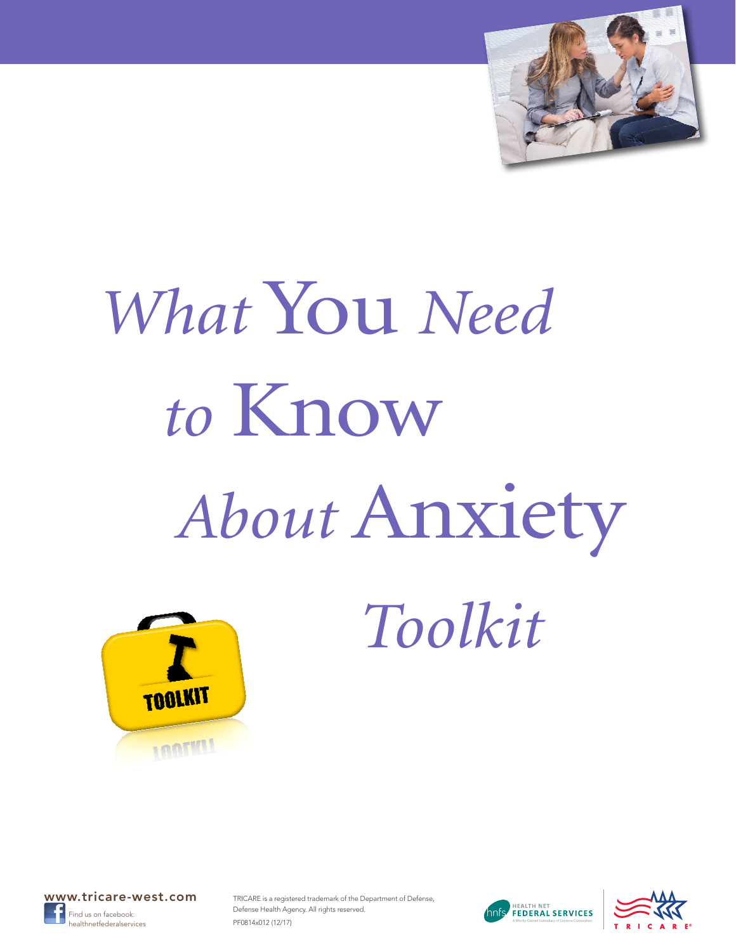

# *What* You *Need to* Know *About* Anxiety



 *Toolkit*



TRICARE is a registered trademark of the Department of Defense, Defense Health Agency. All rights reserved. PF0814x012 (12/17) healthnetfederalservices **A CHU CHU CHU CHU CHU CHU CHU CHU CHU** A Wholly-Owned Subsidiary of Centene Corporation



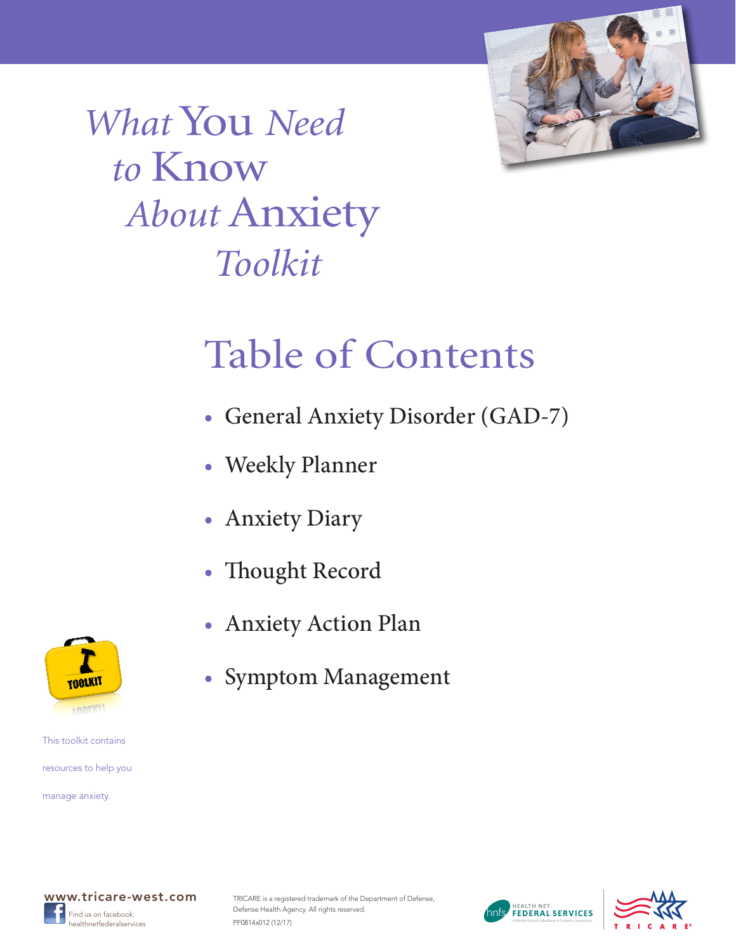

*What* You *Need to* Know *About* Anxiety  *Toolkit*

# Table of Contents

- [General Anxiety Disorder \(GAD-7\)](#page-2-0)
- [Weekly Planner](#page-3-0)
- [Anxiety Diary](#page-4-0)
- [Thought Record](#page-5-0)
- [Anxiety Action Plan](#page-6-0)
- [Symptom Management](#page-7-0)



This toolkit contains resources to help you

manage anxiety.



TRICARE is a registered trademark of the Department of Defense, Defense Health Agency. All rights reserved. PF0814x012 (12/17) healthnetfederalservices **A CHU CHU CHU CHU CHU CHU CHU CHU CHU** A Wholly-Owned Subsidiary of Centene Corporation



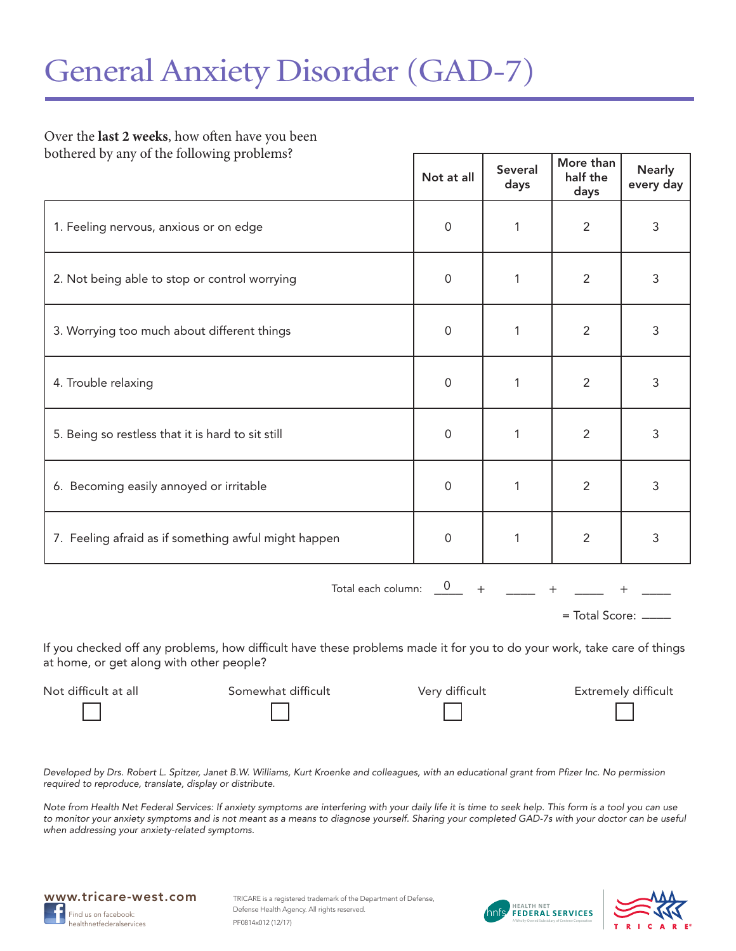#### <span id="page-2-0"></span>Over the **last 2 weeks**, how often have you been bothered by any of the following problems?

| Not at all          | <b>Several</b><br>days | More than<br>half the<br>days | <b>Nearly</b><br>every day |
|---------------------|------------------------|-------------------------------|----------------------------|
| $\mathbf 0$         | 1                      | $\overline{2}$                | 3                          |
| $\mathbf 0$         | 1                      | $\overline{2}$                | 3                          |
| $\mathbf 0$         | 1                      | $\overline{2}$                | 3                          |
| $\mathbf 0$         | 1                      | $\overline{2}$                | 3                          |
| $\mathbf 0$         | 1                      | $\overline{2}$                | 3                          |
| $\mathbf 0$         | 1                      | $\overline{2}$                | 3                          |
| $\mathsf{O}\xspace$ | 1                      | $\overline{2}$                | 3                          |
|                     |                        |                               |                            |

 $\frac{0}{-}$  +  $\frac{1}{-}$  +  $\frac{1}{-}$  +  $\frac{1}{-}$ Total each column: 0

= Total Score: \_\_\_\_\_

If you checked off any problems, how difficult have these problems made it for you to do your work, take care of things at home, or get along with other people?

Not difficult at all Somewhat difficult Very difficult Extremely difficult

*Developed by Drs. Robert L. Spitzer, Janet B.W. Williams, Kurt Kroenke and colleagues, with an educational grant from Pfizer Inc. No permission required to reproduce, translate, display or distribute.*

*Note from Health Net Federal Services: If anxiety symptoms are interfering with your daily life it is time to seek help. This form is a tool you can use to monitor your anxiety symptoms and is not meant as a means to diagnose yourself. Sharing your completed GAD-7s with your doctor can be useful when addressing your anxiety-related symptoms.*





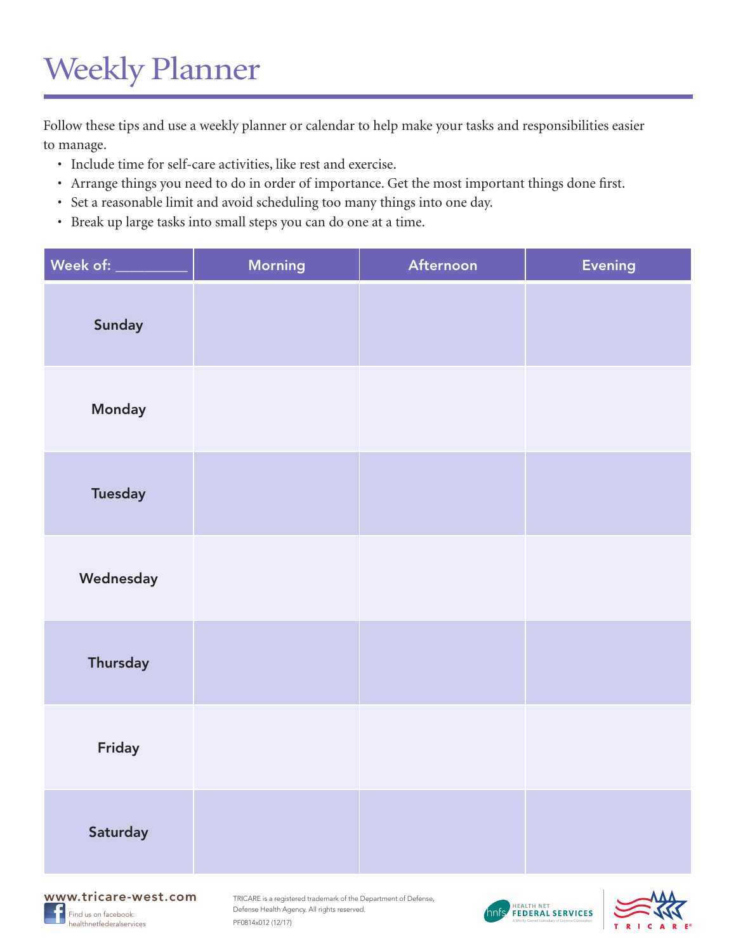# <span id="page-3-0"></span>Weekly Planner

Follow these tips and use a weekly planner or calendar to help make your tasks and responsibilities easier to manage.

- Include time for self-care activities, like rest and exercise.
- Arrange things you need to do in order of importance. Get the most important things done first.
- Set a reasonable limit and avoid scheduling too many things into one day.
- Break up large tasks into small steps you can do one at a time.

| Week of: ___    | <b>Morning</b> | Afternoon | <b>Evening</b> |
|-----------------|----------------|-----------|----------------|
| Sunday          |                |           |                |
| Monday          |                |           |                |
| <b>Tuesday</b>  |                |           |                |
| Wednesday       |                |           |                |
| <b>Thursday</b> |                |           |                |
| Friday          |                |           |                |
| Saturday        |                |           |                |





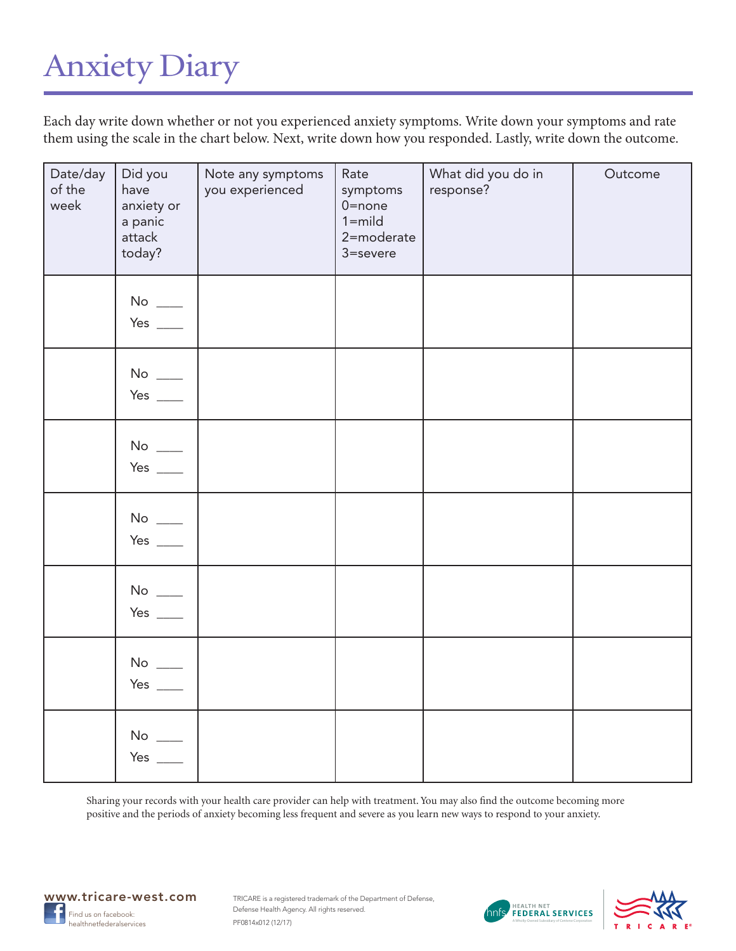### <span id="page-4-0"></span>Anxiety Diary

Each day write down whether or not you experienced anxiety symptoms. Write down your symptoms and rate them using the scale in the chart below. Next, write down how you responded. Lastly, write down the outcome.

| Date/day<br>of the<br>week | Did you<br>have<br>anxiety or<br>a panic<br>attack<br>today? | Note any symptoms<br>you experienced | Rate<br>symptoms<br>$0$ =none<br>$1 = mid$<br>2=moderate<br>3=severe | What did you do in<br>response? | Outcome |
|----------------------------|--------------------------------------------------------------|--------------------------------------|----------------------------------------------------------------------|---------------------------------|---------|
|                            | $\mathsf{No} \ \_\_\!\_$<br>Yes $\_\_$                       |                                      |                                                                      |                                 |         |
|                            | $\mathrm{No}$ $\_\_$<br>Yes $\_\_$                           |                                      |                                                                      |                                 |         |
|                            | No $\_\_$<br>Yes $\_\_\_\_\_\_\$                             |                                      |                                                                      |                                 |         |
|                            | $No$ $\_\_$<br>Yes $\_\_$                                    |                                      |                                                                      |                                 |         |
|                            | $No$ $\_\_$<br>Yes $\_\_$                                    |                                      |                                                                      |                                 |         |
|                            | No $\_\_$<br>Yes $\_\_\_\_\_\_\$                             |                                      |                                                                      |                                 |         |
|                            | No $\_\_$<br>Yes $\_\_$                                      |                                      |                                                                      |                                 |         |

Sharing your records with your health care provider can help with treatment. You may also find the outcome becoming more positive and the periods of anxiety becoming less frequent and severe as you learn new ways to respond to your anxiety.





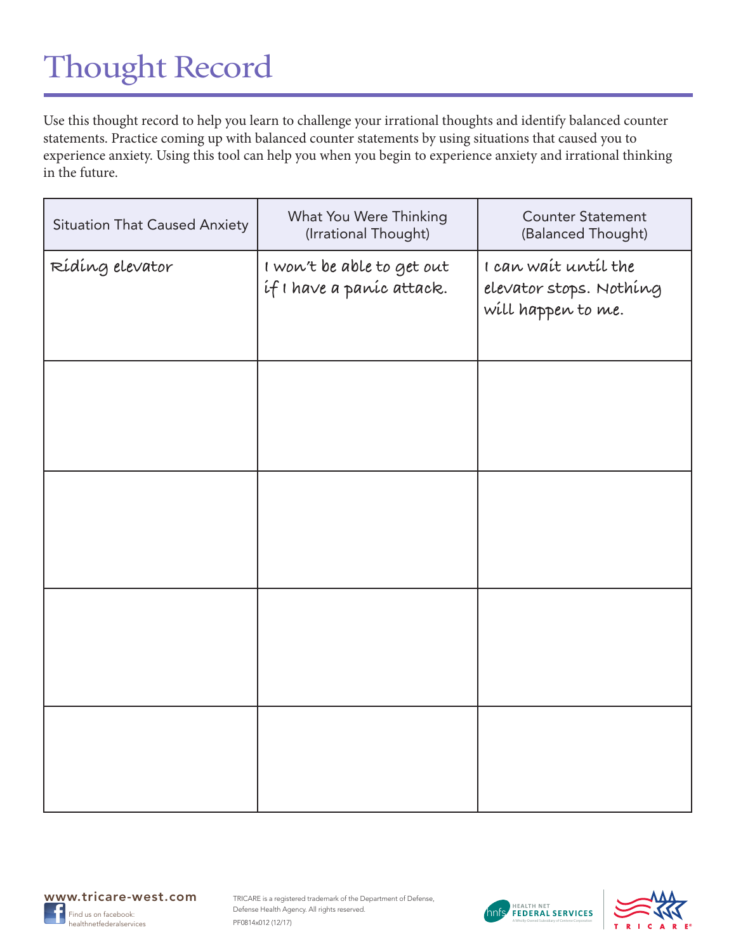# <span id="page-5-0"></span>Thought Record

Use this thought record to help you learn to challenge your irrational thoughts and identify balanced counter statements. Practice coming up with balanced counter statements by using situations that caused you to experience anxiety. Using this tool can help you when you begin to experience anxiety and irrational thinking in the future.

| <b>Situation That Caused Anxiety</b> | What You Were Thinking<br>(Irrational Thought)          | <b>Counter Statement</b><br>(Balanced Thought)                        |
|--------------------------------------|---------------------------------------------------------|-----------------------------------------------------------------------|
| Rídíng elevator                      | I won't be able to get out<br>if I have a paníc attack. | I can wait until the<br>elevator stops. Nothing<br>will happen to me. |
|                                      |                                                         |                                                                       |
|                                      |                                                         |                                                                       |
|                                      |                                                         |                                                                       |
|                                      |                                                         |                                                                       |





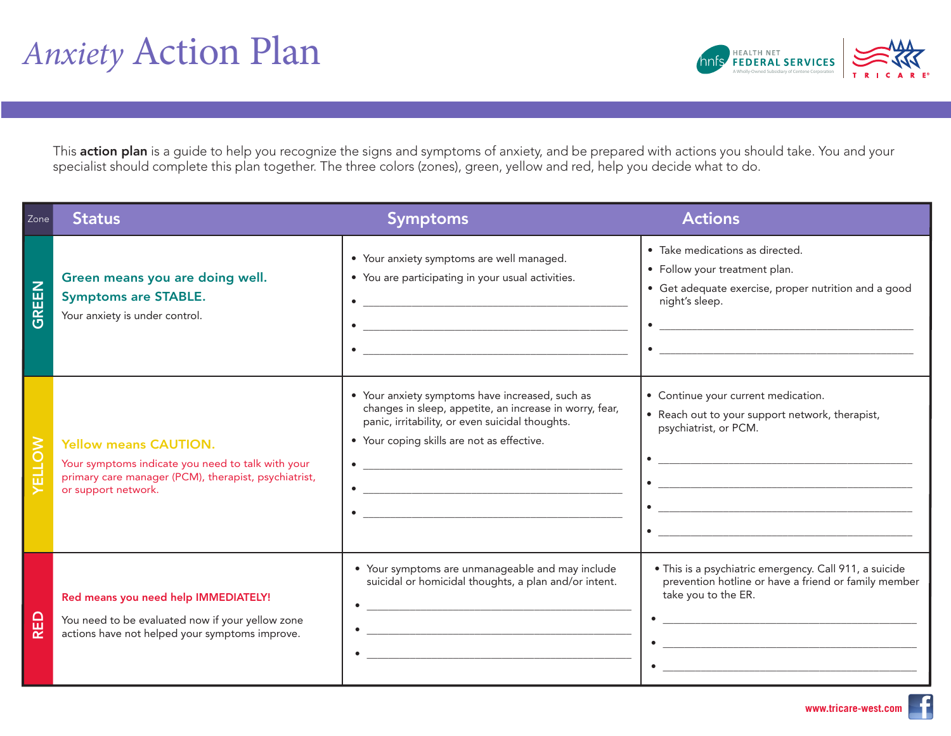

<span id="page-6-0"></span>This **action plan** is a guide to help you recognize the signs and symptoms of anxiety, and be prepared with actions you should take. You and your specialist should complete this plan together. The three colors (zones), gre specialist should complete this plan together. The three colors (zones), green, yellow and red, help you decide what to do.

| Zone         | <b>Status</b>                                                                                                                                                    | <b>Symptoms</b>                                                                                                                                                                                                         | <b>Actions</b>                                                                                                                                                                                                                                                                                                                                                                                                                                                            |
|--------------|------------------------------------------------------------------------------------------------------------------------------------------------------------------|-------------------------------------------------------------------------------------------------------------------------------------------------------------------------------------------------------------------------|---------------------------------------------------------------------------------------------------------------------------------------------------------------------------------------------------------------------------------------------------------------------------------------------------------------------------------------------------------------------------------------------------------------------------------------------------------------------------|
| <b>GREEN</b> | Green means you are doing well.<br><b>Symptoms are STABLE.</b><br>Your anxiety is under control.                                                                 | • Your anxiety symptoms are well managed.<br>• You are participating in your usual activities.<br><u> 1980 - Johann Barn, mars ann an t-Amhain an t-Amhain an t-Amhain an t-Amhain an t-Amhain an t-Amhain an t-Amh</u> | · Take medications as directed.<br>• Follow your treatment plan.<br>• Get adequate exercise, proper nutrition and a good<br>night's sleep.<br>$\bullet$ $\hspace{0.0cm}$ $\hspace{0.0cm}$ $\hspace{0.0cm}$ $\hspace{0.0cm}$ $\hspace{0.0cm}$ $\hspace{0.0cm}$ $\hspace{0.0cm}$ $\hspace{0.0cm}$ $\hspace{0.0cm}$ $\hspace{0.0cm}$ $\hspace{0.0cm}$ $\hspace{0.0cm}$ $\hspace{0.0cm}$ $\hspace{0.0cm}$ $\hspace{0.0cm}$ $\hspace{0.0cm}$ $\hspace{0.0cm}$ $\hspace{0.0cm}$ |
| ELLOW        | <b>Yellow means CAUTION.</b><br>Your symptoms indicate you need to talk with your<br>primary care manager (PCM), therapist, psychiatrist,<br>or support network. | • Your anxiety symptoms have increased, such as<br>changes in sleep, appetite, an increase in worry, fear,<br>panic, irritability, or even suicidal thoughts.<br>• Your coping skills are not as effective.             | • Continue your current medication.<br>• Reach out to your support network, therapist,<br>psychiatrist, or PCM.<br><u> 1989 - Johann Barbara, martxa eta idazlea (h. 1989).</u><br><u> 1980 - Jan Salaman, mangang mga kalendar ng mga kalendar ng mga kalendar ng mga kalendar ng mga kalendar ng mga kalendar ng mga kalendar ng mga kalendar ng mga kalendar ng mga kalendar.</u><br><u> 2008 - Jan Barnett, fransk politik (d. 1888)</u>                              |
| RED          | Red means you need help IMMEDIATELY!<br>You need to be evaluated now if your yellow zone<br>actions have not helped your symptoms improve.                       | • Your symptoms are unmanageable and may include<br>suicidal or homicidal thoughts, a plan and/or intent.                                                                                                               | · This is a psychiatric emergency. Call 911, a suicide<br>prevention hotline or have a friend or family member<br>take you to the ER.<br><u> 1980 - Jan Barnett, fransk politiker (d. 1980)</u><br>$\bullet$<br><u> 1980 - Johann Stein, marwolaethau a bhann an t-Amhair ann an t-Amhair an t-Amhair an t-Amhair an t-Amhair an</u>                                                                                                                                      |